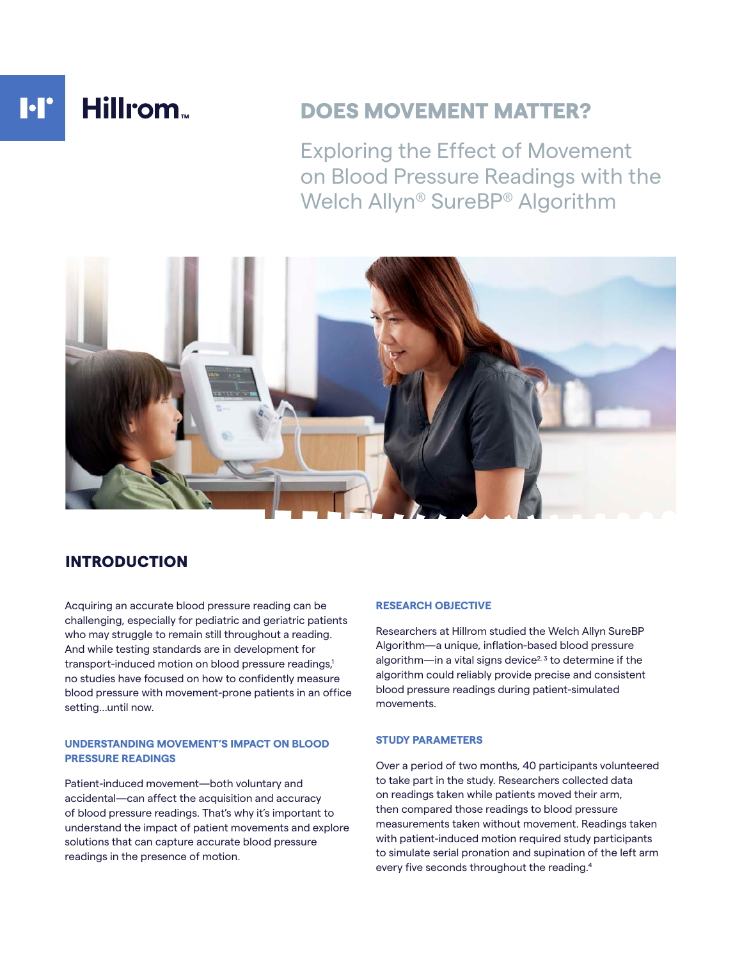# **I**·I' Hillrom.

# DOES MOVEMENT MATTER?

Exploring the Effect of Movement on Blood Pressure Readings with the Welch Allyn® SureBP® Algorithm



# INTRODUCTION

Acquiring an accurate blood pressure reading can be challenging, especially for pediatric and geriatric patients who may struggle to remain still throughout a reading. And while testing standards are in development for transport-induced motion on blood pressure readings,<sup>1</sup> no studies have focused on how to confidently measure blood pressure with movement-prone patients in an office setting…until now.

#### **UNDERSTANDING MOVEMENT'S IMPACT ON BLOOD PRESSURE READINGS**

Patient-induced movement—both voluntary and accidental—can affect the acquisition and accuracy of blood pressure readings. That's why it's important to understand the impact of patient movements and explore solutions that can capture accurate blood pressure readings in the presence of motion.

### **RESEARCH OBJECTIVE**

Researchers at Hillrom studied the Welch Allyn SureBP Algorithm—a unique, inflation-based blood pressure algorithm—in a vital signs device<sup>2, 3</sup> to determine if the algorithm could reliably provide precise and consistent blood pressure readings during patient-simulated movements.

#### **STUDY PARAMETERS**

Over a period of two months, 40 participants volunteered to take part in the study. Researchers collected data on readings taken while patients moved their arm, then compared those readings to blood pressure measurements taken without movement. Readings taken with patient-induced motion required study participants to simulate serial pronation and supination of the left arm every five seconds throughout the reading.4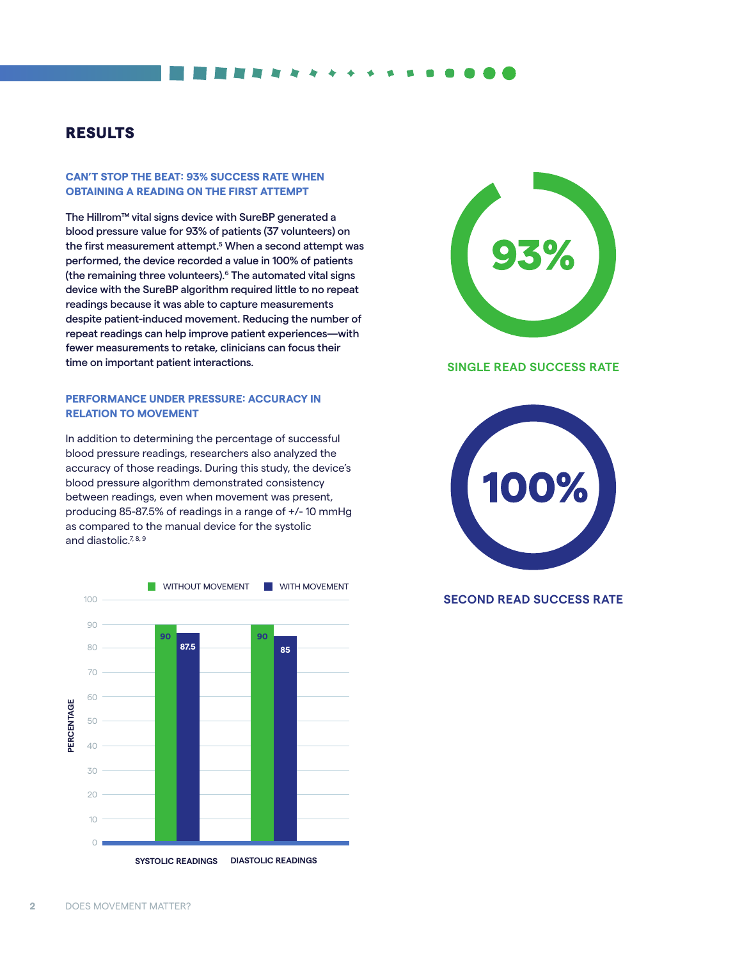## RESULTS

#### **CAN'T STOP THE BEAT: 93% SUCCESS RATE WHEN OBTAINING A READING ON THE FIRST ATTEMPT**

The Hillrom™ vital signs device with SureBP generated a blood pressure value for 93% of patients (37 volunteers) on the first measurement attempt.<sup>5</sup> When a second attempt was performed, the device recorded a value in 100% of patients (the remaining three volunteers).6 The automated vital signs device with the SureBP algorithm required little to no repeat readings because it was able to capture measurements despite patient-induced movement. Reducing the number of repeat readings can help improve patient experiences—with fewer measurements to retake, clinicians can focus their time on important patient interactions.

#### **PERFORMANCE UNDER PRESSURE: ACCURACY IN RELATION TO MOVEMENT**

In addition to determining the percentage of successful blood pressure readings, researchers also analyzed the accuracy of those readings. During this study, the device's blood pressure algorithm demonstrated consistency between readings, even when movement was present, producing 85-87.5% of readings in a range of +/- 10 mmHg as compared to the manual device for the systolic and diastolic.<sup>7, 8, 9</sup>





#### **SINGLE READ SUCCESS RATE**



#### **SECOND READ SUCCESS RATE**